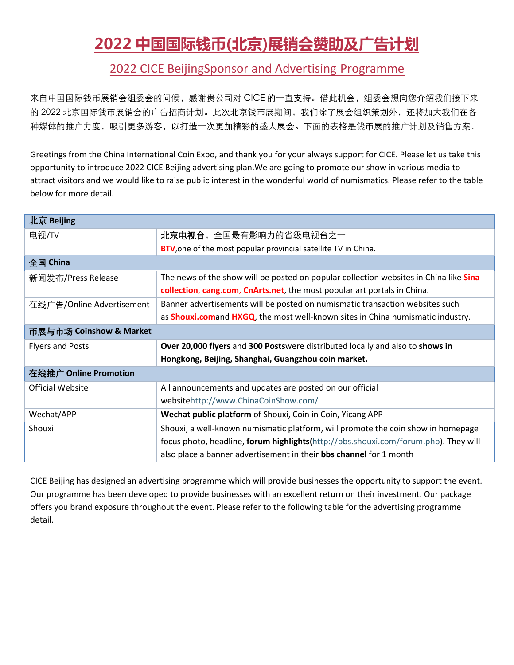# **2022 中国国际钱币(北京)展销会赞助及广告计划**

#### 2022 CICE BeijingSponsor and Advertising Programme

来自中国国际钱币展销会组委会的问候,感谢贵公司对 CICE 的一直支持。借此机会,组委会想向您介绍我们接下来 的 2022 北京国际钱币展销会的广告招商计划。此次北京钱币展期间,我们除了展会组织策划外,还将加大我们在各 种媒体的推广力度,吸引更多游客,以打造一次更加精彩的盛大展会。下面的表格是钱币展的推广计划及销售方案:

Greetings from the China International Coin Expo, and thank you for your always support for CICE. Please let us take this opportunity to introduce 2022 CICE Beijing advertising plan.We are going to promote our show in various media to attract visitors and we would like to raise public interest in the wonderful world of numismatics. Please refer to the table below for more detail.

| 北京 Beijing                |                                                                                        |
|---------------------------|----------------------------------------------------------------------------------------|
| 电视/TV                     | <b>北京电视台</b> , 全国最有影响力的省级电视台之一                                                         |
|                           | BTV, one of the most popular provincial satellite TV in China.                         |
| 全国 China                  |                                                                                        |
| 新闻发布/Press Release        | The news of the show will be posted on popular collection websites in China like Sina  |
|                           | collection, cang.com, CnArts.net, the most popular art portals in China.               |
| 在线广告/Online Advertisement | Banner advertisements will be posted on numismatic transaction websites such           |
|                           | as <b>Shouxi.comand HXGQ</b> , the most well-known sites in China numismatic industry. |
| 币展与市场 Coinshow & Market   |                                                                                        |
| <b>Flyers and Posts</b>   | Over 20,000 flyers and 300 Postswere distributed locally and also to shows in          |
|                           | Hongkong, Beijing, Shanghai, Guangzhou coin market.                                    |
| 在线推广 Online Promotion     |                                                                                        |
| <b>Official Website</b>   | All announcements and updates are posted on our official                               |
|                           | websitehttp://www.ChinaCoinShow.com/                                                   |
| Wechat/APP                | Wechat public platform of Shouxi, Coin in Coin, Yicang APP                             |
| Shouxi                    | Shouxi, a well-known numismatic platform, will promote the coin show in homepage       |
|                           | focus photo, headline, forum highlights(http://bbs.shouxi.com/forum.php). They will    |
|                           | also place a banner advertisement in their <b>bbs channel</b> for 1 month              |
|                           |                                                                                        |

CICE Beijing has designed an advertising programme which will provide businesses the opportunity to support the event. Our programme has been developed to provide businesses with an excellent return on their investment. Our package offers you brand exposure throughout the event. Please refer to the following table for the advertising programme detail.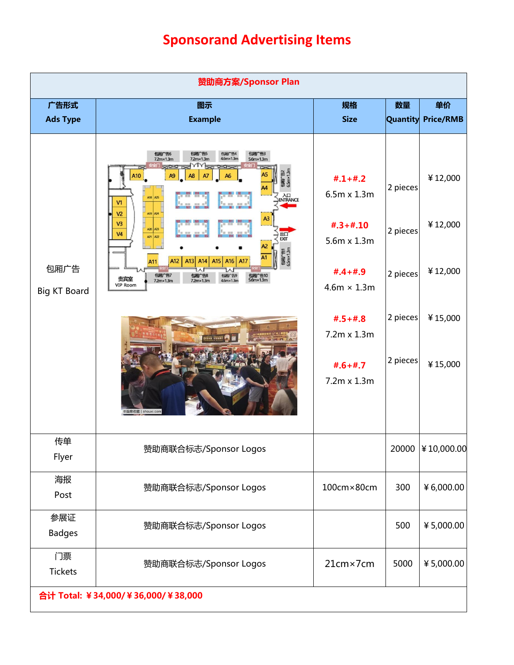## **Sponsorand Advertising Items**

| 广告形式<br><b>Ads Type</b>     | 图示<br><b>Example</b>                                                                                                                                                                                                                                                                                                 | 规格<br><b>Size</b>                              | 数量              | 单价<br><b>Quantity Price/RMB</b> |
|-----------------------------|----------------------------------------------------------------------------------------------------------------------------------------------------------------------------------------------------------------------------------------------------------------------------------------------------------------------|------------------------------------------------|-----------------|---------------------------------|
|                             |                                                                                                                                                                                                                                                                                                                      |                                                |                 |                                 |
|                             | 包厢广告6<br>7.2m×1.3m<br>包厢广告5<br>包厢广告3<br>包厢广告4<br>$4.6$ m $\times$ 1.3m<br>$5.6$ m $\times$ 1.3m<br>$7.2$ m $\times$ 1.3m<br>Be <sup>VIV</sup> Bergesberg<br>Separat<br>A10<br>A <sub>9</sub><br>A <sub>8</sub><br>A6<br>A7<br>AH<br>A18 A25<br>V1<br>1 000<br>2012.00<br>V <sub>2</sub><br>A19 A24<br>A <sub>3</sub> | $\textbf{\#}.1 + \textbf{\#}.2$<br>6.5m x 1.3m | 2 pieces        | ¥12,000                         |
|                             | 26 227 226 3<br><br>V3<br>A20 A23<br>0<br>29 830 831 83<br>$\frac{1}{3}$ 814 815 8<br><b>V4</b><br>器<br>A21 A22<br>e属/告<br>65m×13m<br>A12<br>A13 A14<br>A <sub>16</sub>                                                                                                                                              | $#.3 + #.10$<br>5.6m x 1.3m                    | 2 pieces        | ¥12,000                         |
| 包厢广告<br><b>Big KT Board</b> | 包厢广告7<br>7.2m×1.3m<br>包厢 <sup>+</sup> 告10<br>5.6m×1.3m<br>包厢 <sup>+告9</sup><br>4.6m×1.3m<br>包厢广告8<br>7.2m×1.3m<br>贵宾室<br>VIP Room                                                                                                                                                                                    | $#.4 + #.9$<br>$4.6m \times 1.3m$              | 2 pieces        | ¥12,000                         |
|                             |                                                                                                                                                                                                                                                                                                                      | $#.5 + #.8$<br>7.2m x 1.3m                     | $ 2$ pieces $ $ | ¥15,000                         |
|                             | ©首席收藏   shouxi.con                                                                                                                                                                                                                                                                                                   | $#.6 + #.7$<br>7.2m x 1.3m                     | $ 2$ pieces $ $ | ¥15,000                         |
| 传单<br>Flyer                 | 赞助商联合标志/Sponsor Logos                                                                                                                                                                                                                                                                                                |                                                |                 | 20000 ¥10,000.00                |
| 海报<br>Post                  | 赞助商联合标志/Sponsor Logos                                                                                                                                                                                                                                                                                                | 100cm×80cm                                     | 300             | ¥6,000.00                       |
| 参展证<br><b>Badges</b>        | 赞助商联合标志/Sponsor Logos                                                                                                                                                                                                                                                                                                |                                                | 500             | ¥5,000.00                       |
| 门票<br>Tickets               | 赞助商联合标志/Sponsor Logos                                                                                                                                                                                                                                                                                                | 21cm×7cm                                       | 5000            | ¥5,000.00                       |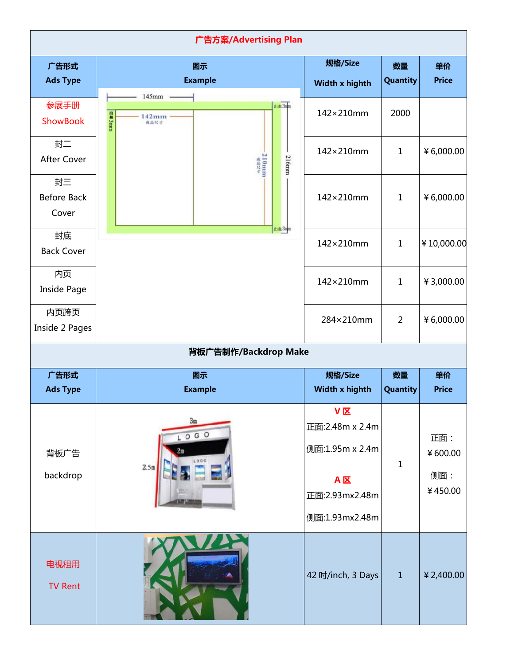|                                   | 广告方案/Advertising Plan                                 |                                                                                                         |                |                                  |
|-----------------------------------|-------------------------------------------------------|---------------------------------------------------------------------------------------------------------|----------------|----------------------------------|
| 广告形式<br><b>Ads Type</b>           | 图示<br><b>Example</b>                                  | 规格/Size<br>Width x highth                                                                               | 数量<br>Quantity | 单价<br><b>Price</b>               |
| 参展手册<br>ShowBook                  | $145mm$ -<br>出血31<br><b>出会 3mm</b><br>$142 \text{mm}$ | 142×210mm                                                                                               | 2000           |                                  |
| 封二<br>After Cover                 | $210 \text{mm}$<br><b>216mm</b>                       | 142×210mm                                                                                               | $\mathbf{1}$   | ¥6,000.00                        |
| 封三<br><b>Before Back</b><br>Cover |                                                       | 142×210mm                                                                                               | $\mathbf{1}$   | ¥6,000.00                        |
| 封底<br><b>Back Cover</b>           | asta 3mm                                              | 142×210mm                                                                                               | $\mathbf{1}$   | ¥10,000.00                       |
| 内页<br>Inside Page                 |                                                       | 142×210mm                                                                                               | $\mathbf{1}$   | ¥3,000.00                        |
| 内页跨页<br>Inside 2 Pages            |                                                       | 284×210mm                                                                                               | $\overline{2}$ | ¥6,000.00                        |
|                                   | 背板广告制作/Backdrop Make                                  |                                                                                                         |                |                                  |
| 广告形式<br><b>Ads Type</b>           | 图示<br><b>Example</b>                                  | 规格/Size<br>Width x highth                                                                               | 数量<br>Quantity | 单价<br><b>Price</b>               |
| 背板广告<br>backdrop                  | 3m<br>LOGO<br>1000<br>2.5 <sub>m</sub>                | $V\overline{K}$<br>正面:2.48m x 2.4m<br>侧面:1.95m x 2.4m<br>$A \times$<br>正面:2.93mx2.48m<br>侧面:1.93mx2.48m | $\mathbf 1$    | 正面:<br>¥600.00<br>侧面:<br>¥450.00 |
|                                   |                                                       |                                                                                                         |                |                                  |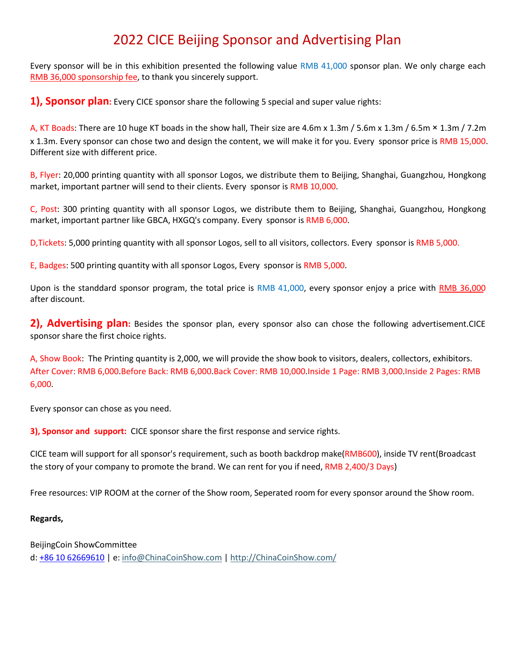## 2022 CICE Beijing Sponsor and Advertising Plan

Every sponsor will be in this exhibition presented the following value RMB 41,000 sponsor plan. We only charge each RMB 36,000 sponsorship fee, to thank you sincerely support.

**1), Sponsor plan:** Every CICE sponsor share the following 5 special and super value rights:

A, KT Boads: There are 10 huge KT boads in the show hall, Their size are 4.6m x 1.3m / 5.6m x 1.3m / 6.5m × 1.3m / 7.2m x 1.3m. Every sponsor can chose two and design the content, we will make it for you. Every sponsor price is RMB 15,000. Different size with different price.

B, Flyer: 20,000 printing quantity with all sponsor Logos, we distribute them to Beijing, Shanghai, Guangzhou, Hongkong market, important partner will send to their clients. Every sponsor is RMB 10,000.

C, Post: 300 printing quantity with all sponsor Logos, we distribute them to Beijing, Shanghai, Guangzhou, Hongkong market, important partner like GBCA, HXGQ's company. Every sponsor is RMB 6,000.

D,Tickets: 5,000 printing quantity with all sponsor Logos, sell to all visitors, collectors. Every sponsor is RMB 5,000.

E, Badges: 500 printing quantity with all sponsor Logos, Every sponsor is RMB 5,000.

Upon is the standdard sponsor program, the total price is RMB 41,000, every sponsor enjoy a price with RMB 36,000 after discount.

**2), Advertising plan:** Besides the sponsor plan, every sponsor also can chose the following advertisement.CICE sponsor share the first choice rights.

A, Show Book: The Printing quantity is 2,000, we will provide the show book to visitors, dealers, collectors, exhibitors. After Cover: RMB 6,000.Before Back: RMB 6,000.Back Cover: RMB 10,000.Inside 1 Page: RMB 3,000.Inside 2 Pages: RMB 6,000.

Every sponsor can chose as you need.

**3), Sponsor and support:** CICE sponsor share the first response and service rights.

CICE team will support for all sponsor's requirement, such as booth backdrop make(RMB600), inside TV rent(Broadcast the story of your company to promote the brand. We can rent foryou if need, RMB 2,400/3 Days)

Free resources: VIP ROOM at the corner of the Show room, Seperated room for every sponsor around the Show room.

#### **Regards,**

BeijingCoin ShowCommittee

d: +86 10 62669610 | e: [info@ChinaCoinShow.com](mailto:info@chinacoinshow.com) | [http://ChinaCoinShow.com/](http://chinacoinshow.com/)